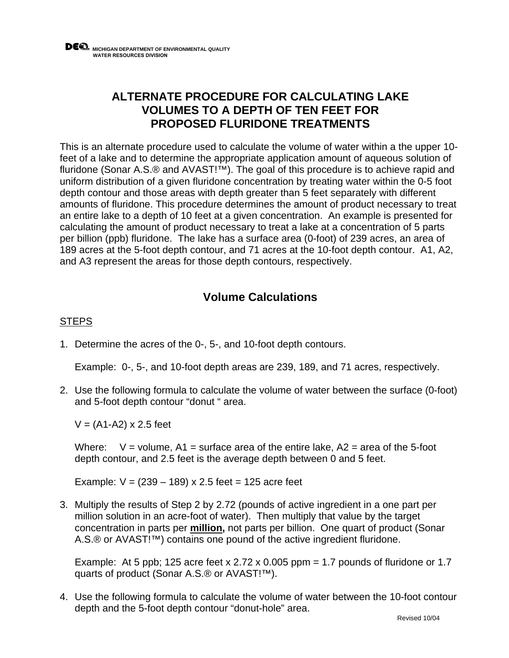## **ALTERNATE PROCEDURE FOR CALCULATING LAKE VOLUMES TO A DEPTH OF TEN FEET FOR PROPOSED FLURIDONE TREATMENTS**

This is an alternate procedure used to calculate the volume of water within a the upper 10 feet of a lake and to determine the appropriate application amount of aqueous solution of fluridone (Sonar A.S.® and AVAST!™). The goal of this procedure is to achieve rapid and uniform distribution of a given fluridone concentration by treating water within the 0-5 foot depth contour and those areas with depth greater than 5 feet separately with different amounts of fluridone. This procedure determines the amount of product necessary to treat an entire lake to a depth of 10 feet at a given concentration. An example is presented for calculating the amount of product necessary to treat a lake at a concentration of 5 parts per billion (ppb) fluridone. The lake has a surface area (0-foot) of 239 acres, an area of 189 acres at the 5-foot depth contour, and 71 acres at the 10-foot depth contour. A1, A2, and A3 represent the areas for those depth contours, respectively.

## **Volume Calculations**

## **STEPS**

1. Determine the acres of the 0-, 5-, and 10-foot depth contours.

Example: 0-, 5-, and 10-foot depth areas are 239, 189, and 71 acres, respectively.

2. Use the following formula to calculate the volume of water between the surface (0-foot) and 5-foot depth contour "donut " area.

 $V = (A1-A2) \times 2.5$  feet

Where:  $V =$  volume, A1 = surface area of the entire lake, A2 = area of the 5-foot depth contour, and 2.5 feet is the average depth between 0 and 5 feet.

Example:  $V = (239 - 189) \times 2.5$  feet = 125 acre feet

3. Multiply the results of Step 2 by 2.72 (pounds of active ingredient in a one part per million solution in an acre-foot of water). Then multiply that value by the target concentration in parts per **million,** not parts per billion. One quart of product (Sonar A.S.® or AVAST!™) contains one pound of the active ingredient fluridone.

Example: At 5 ppb; 125 acre feet x 2.72 x 0.005 ppm = 1.7 pounds of fluridone or 1.7 quarts of product (Sonar A.S.® or AVAST!™).

4. Use the following formula to calculate the volume of water between the 10-foot contour depth and the 5-foot depth contour "donut-hole" area.